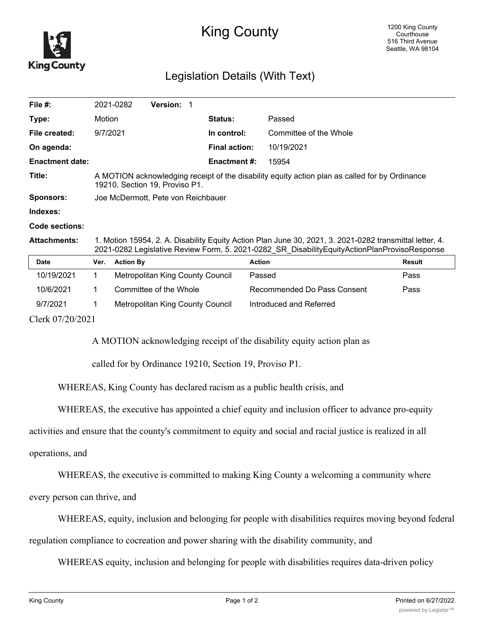

## King County

## Legislation Details (With Text)

| File $#$ :             |                                                                                                                                                                                                         | 2021-0282        | <b>Version: 1</b>                |  |                      |                             |               |
|------------------------|---------------------------------------------------------------------------------------------------------------------------------------------------------------------------------------------------------|------------------|----------------------------------|--|----------------------|-----------------------------|---------------|
| Type:                  | Motion                                                                                                                                                                                                  |                  |                                  |  | <b>Status:</b>       | Passed                      |               |
| File created:          | 9/7/2021                                                                                                                                                                                                |                  |                                  |  | In control:          | Committee of the Whole      |               |
| On agenda:             |                                                                                                                                                                                                         |                  |                                  |  | <b>Final action:</b> | 10/19/2021                  |               |
| <b>Enactment date:</b> |                                                                                                                                                                                                         |                  |                                  |  | <b>Enactment #:</b>  | 15954                       |               |
| Title:                 | A MOTION acknowledging receipt of the disability equity action plan as called for by Ordinance<br>19210, Section 19, Proviso P1.                                                                        |                  |                                  |  |                      |                             |               |
| <b>Sponsors:</b>       | Joe McDermott, Pete von Reichbauer                                                                                                                                                                      |                  |                                  |  |                      |                             |               |
| Indexes:               |                                                                                                                                                                                                         |                  |                                  |  |                      |                             |               |
| Code sections:         |                                                                                                                                                                                                         |                  |                                  |  |                      |                             |               |
| <b>Attachments:</b>    | 1. Motion 15954, 2. A. Disability Equity Action Plan June 30, 2021, 3. 2021-0282 transmittal letter, 4.<br>2021-0282 Legislative Review Form, 5. 2021-0282 SR DisabilityEquityActionPlanProvisoResponse |                  |                                  |  |                      |                             |               |
| <b>Date</b>            | Ver.                                                                                                                                                                                                    | <b>Action By</b> |                                  |  |                      | <b>Action</b>               | <b>Result</b> |
| 10/19/2021             | 1                                                                                                                                                                                                       |                  | Metropolitan King County Council |  |                      | Passed                      | Pass          |
| 10/6/2021              | 1.                                                                                                                                                                                                      |                  | Committee of the Whole           |  |                      | Recommended Do Pass Consent | Pass          |
| 9/7/2021               |                                                                                                                                                                                                         |                  | Metropolitan King County Council |  |                      | Introduced and Referred     |               |

Clerk 07/20/2021

A MOTION acknowledging receipt of the disability equity action plan as

called for by Ordinance 19210, Section 19, Proviso P1.

WHEREAS, King County has declared racism as a public health crisis, and

WHEREAS, the executive has appointed a chief equity and inclusion officer to advance pro-equity

activities and ensure that the county's commitment to equity and social and racial justice is realized in all

operations, and

WHEREAS, the executive is committed to making King County a welcoming a community where

every person can thrive, and

WHEREAS, equity, inclusion and belonging for people with disabilities requires moving beyond federal

regulation compliance to cocreation and power sharing with the disability community, and

WHEREAS equity, inclusion and belonging for people with disabilities requires data-driven policy